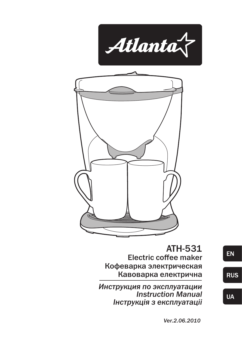



ATH-531 Electric coffee maker Кофеварка электрическая Кавоварка електрична

*Инструкция по эксплуатации Instruction Manual Iнструкцiя з експлуатацii*

**RUS** 

**UA**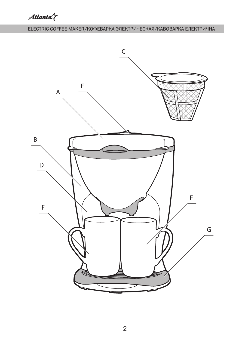# $\mathcal{A}$ tlanta $\sqrt[4]{ }$

ELECTRIC COFFEE MAKER/КОФЕВАРКА ЭЛЕКТРИЧЕСКАЯ/КАВОВАРКА ЕЛЕКТРИЧНА

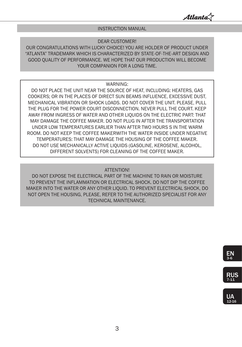$\mathcal{A}$ tlanta $\Lambda$ 

EN 3-6

RUS 7-11

UA 12-16

#### INSTRUCTION MANUAL

#### DEAR CUSTOMER!

OUR CONGRATULATIONS WITH LUCKY CHOICE! YOU ARE HOLDER OF PRODUCT UNDER "ATLANTA" TRADEMARK WHICH IS CHARACTERIZED BY STATE-OF-THE-ART DESIGN AND GOOD QUALITY OF PERFORMANCE. WE HOPE THAT OUR PRODUCTION WILL BECOME YOUR COMPANION FOR A LONG TIME.

#### WARNING:

DO NOT PLACE THE UNIT NEAR THE SOURCE OF HEAT, INCLUDING: HEATERS, GAS COOKERS; OR IN THE PLACES OF DIRECT SUN BEAMS INFLUENCE, EXCESSIVE DUST, MECHANICAL VIBRATION OR SHOCK LOADS. DO NOT COVER THE UNIT. PLEASE, PULL THE PLUG FOR THE POWER COURT DISCONNECTION. NEVER PULL THE COURT. KEEP AWAY FROM INGRESS OF WATER AND OTHER LIQUIDS ON THE ELECTRIC PART: THAT MAY DAMAGE THE COFFEE MAKER. DO NOT PLUG IN AFTER THE TRANSPORTATION UNDER LOW TEMPERATURES EARLIER THAN AFTER TWO HOURS S IN THE WARM ROOM. DO NOT KEEP THE COFFEE MAKERWITH THE WATER INSIDE UNDER NEGATIVE TEMPERATURES: THAT MAY DAMAGE THE HOUSING OF THE COFFEE MAKER. DO NOT USE MECHANICALLY ACTIVE LIQUIDS (GASOLINE, KEROSENE, ALCOHOL, DIFFERENT SOLVENTS) FOR CLEANING OF THE COFFEE MAKER.

#### ATTENTION!

DO NOT EXPOSE THE ELECTRICAL PART OF THE MACHINE TO RAIN OR MOISTURE TO PREVENT THE INFLAMMATION OR ELECTRICAL SHOCK. DO NOT DIP THE COFFEE MAKER INTO THE WATER OR ANY OTHER LIQUID. TO PREVENT ELECTRICAL SHOCK, DO NOT OPEN THE HOUSING, PLEASE, REFER TO THE AUTHORIZED SPECIALIST FOR ANY TECHNICAL MAINTENANCE.

3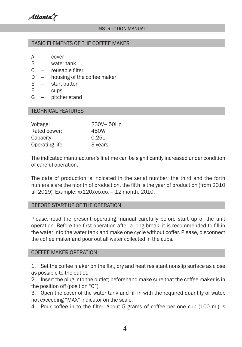$\mathcal{A}$ tlanta $\mathcal{A}$ 

#### INSTRUCTION MANUAL

#### BASIC ELEMENTS OF THE COFFEE MAKER

- A cover
- B water tank
- C reusable filter
- D housing of the coffee maker
- $F =$  start button
- $F \text{cubs}$
- G pitcher stand

# TECHNICAL FEATURES

| Voltage:        | 230V~50Hz |
|-----------------|-----------|
| Rated power:    | 450W      |
| Capacity:       | 0.25L     |
| Operating life: | 3 years   |

The indicated manufacturer's lifetime can be significantly increased under condition of careful operation.

The date of production is indicated in the serial number: the third and the forth numerals are the month of production, the fifth is the year of production (from 2010 till 2019). Example: хх120ххххххх – 12 month, 2010.

# BEFORE START UP OF THE OPERATION

Please, read the present operating manual carefully before start up of the unit operation. Before the first operation after a long break, it is recommended to fill in the water into the water tank and make one cycle without coffer. Please, disconnect the coffee maker and pour out all water collected in the cups.

# COFFEE MAKER OPERATION

1. Set the coffee maker on the flat, dry and heat resistant nonslip surface as close as possible to the outlet.

2. Insert the plug into the outlet; beforehand make sure that the coffee maker is in the position off (position "O").

3. Open the cover of the water tank and fill in with the required quantity of water, not exceeding "MAX" indicator on the scale.

4. Pour coffee in to the filter. About 5 grams of coffee per one cup (100 ml) is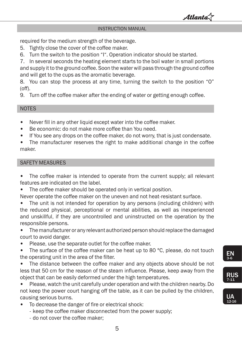$Although$ 

#### INSTRUCTION MANUAL

required for the medium strength of the beverage.

- 5. Tightly close the cover of the coffee maker.
- 6. Turn the switch to the position "I". Operation indicator should be started.

7. In several seconds the heating element starts to the boil water in small portions and supply it to the ground coffee. Soon the water will pass through the ground coffee and will get to the cups as the aromatic beverage.

8. You can stop the process at any time, turning the switch to the position "O" (off).

9. Turn off the coffee maker after the ending of water or getting enough coffee.

# **NOTES**

- Never fill in any other liquid except water into the coffee maker.
- Be economic: do not make more coffee than You need.
- If You see any drops on the coffee maker, do not worry, that is just condensate.
- The manufacturer reserves the right to make additional change in the coffee maker.

# SAFETY MEASURES

- The coffee maker is intended to operate from the current supply; all relevant features are indicated on the label.
- The coffee maker should be operated only in vertical position.

Never operate the coffee maker on the uneven and not heat-resistant surface.

- The unit is not intended for operation by any persons (including children) with the reduced physical, perceptional or mental abilities, as well as inexperienced and unskillful, if they are uncontrolled and uninstructed on the operation by the responsible persons.
- The manufacturer or any relevant authorized person should replace the damaged court to avoid danger.
- Please, use the separate outlet for the coffee maker.

The surface of the coffee maker can be heat up to 80 °C, please, do not touch the operating unit in the area of the filter.

• The distance between the coffee maker and any objects above should be not less that 50 cm for the reason of the steam influence. Please, keep away from the object that can be easily deformed under the high temperatures.

• Please, watch the unit carefully under operation and with the children nearby. Do not keep the power court hanging off the table, as it can be pulled by the children, causing serious burns.

- To decrease the danger of fire or electrical shock:
	- keep the coffee maker disconnected from the power supply;
	- do not cover the coffee maker;

EN 3-6

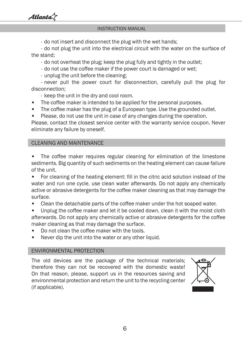# INSTRUCTION MANUAL

- do not insert and disconnect the plug with the wet hands;

- do not plug the unit into the electrical circuit with the water on the surface of the stand;

- do not overheat the plug; keep the plug fully and tightly in the outlet;

- do not use the coffee maker if the power court is damaged or wet;

- unplug the unit before the cleaning;

- never pull the power court for disconnection, carefully pull the plug for disconnection;

- keep the unit in the dry and cool room.

- The coffee maker is intended to be applied for the personal purposes.
- The coffee maker has the plug of a European type. Use the grounded outlet.
- Please, do not use the unit in case of any changes during the operation.

Please, contact the closest service center with the warranty service coupon. Never eliminate any failure by oneself.

# CLEANING AND MAINTENANCE

The coffee maker requires regular cleaning for elimination of the limestone sediments. Big quantity of such sediments on the heating element can cause failure of the unit.

• For cleaning of the heating element: fill in the citric acid solution instead of the water and run one cycle, use clean water afterwards. Do not apply any chemically active or abrasive detergents for the coffee maker cleaning as that may damage the surface.

• Clean the detachable parts of the coffee maker under the hot soaped water.

• Unplug the coffee maker and let it be cooled down, clean it with the moist cloth afterwards. Do not apply any chemically active or abrasive detergents for the coffee maker cleaning as that may damage the surface.

- Do not clean the coffee maker with the tools.
- Never dip the unit into the water or any other liquid.

# ENVIRONMENTAL PROTECTION

The old devices are the package of the technical materials; therefore they can not be recovered with the domestic waste! On that reason, please, support us in the resources saving and environmental protection and return the unit to the recycling center (if applicable).

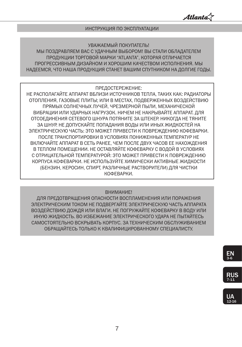$\mathcal{A}$ tlanta

УВАЖАЕМЫЙ ПОКУПАТЕЛЬ! МЫ ПОЗДРАВЛЯЕМ ВАС С УДАЧНЫМ ВЫБОРОМ! ВЫ СТАЛИ ОБЛАДАТЕЛЕМ ПРОДУКЦИИ ТОРГОВОЙ МАРКИ "ATLANTA", КОТОРАЯ ОТЛИЧАЕТСЯ ПРОГРЕССИВНЫМ ДИЗАЙНОМ И ХОРОШИМ КАЧЕСТВОМ ИСПОЛНЕНИЯ. МЫ НАДЕЕМСЯ, ЧТО НАША ПРОДУКЦИЯ СТАНЕТ ВАШИМ СПУТНИКОМ НА ДОЛГИЕ ГОДЫ.

ПРЕДОСТЕРЕЖЕНИЕ:

НЕ РАСПОЛАГАЙТЕ АППАРАТ ВБЛИЗИ ИСТОЧНИКОВ ТЕПЛА, ТАКИХ КАК: РАДИАТОРЫ ОТОПЛЕНИЯ, ГАЗОВЫЕ ПЛИТЫ; ИЛИ В МЕСТАХ, ПОДВЕРЖЕННЫХ ВОЗДЕЙСТВИЮ ПРЯМЫХ СОЛНЕЧНЫХ ЛУЧЕЙ, ЧРЕЗМЕРНОЙ ПЫЛИ, МЕХАНИЧЕСКОЙ ВИБРАЦИИ ИЛИ УДАРНЫХ НАГРУЗОК. НИЧЕМ НЕ НАКРЫВАЙТЕ АППАРАТ. ДЛЯ ОТСОЕДИНЕНИЯ СЕТЕВОГО ШНУРА ПОТЯНИТЕ ЗА ШТЕКЕР. НИКОГДА НЕ ТЯНИТЕ ЗА ШНУР. НЕ ДОПУСКАЙТЕ ПОПАДАНИЯ ВОДЫ ИЛИ ИНЫХ ЖИДКОСТЕЙ НА ЭЛЕКТРИЧЕСКУЮ ЧАСТЬ: ЭТО МОЖЕТ ПРИВЕСТИ К ПОВРЕЖДЕНИЮ КОФЕВАРКИ. ПОСЛЕ ТРАНСПОРТИРОВКИ В УСЛОВИЯХ ПОНИЖЕННЫХ ТЕМПЕРАТУР НЕ ВКЛЮЧАЙТЕ АППАРАТ В СЕТЬ РАНЕЕ, ЧЕМ ПОСЛЕ ДВУХ ЧАСОВ ЕЕ НАХОЖДЕНИЯ В ТЕПЛОМ ПОМЕЩЕНИИ. НЕ ОСТАВЛЯЙТЕ КОФЕВАРКУ С ВОДОЙ В УСЛОВИЯХ С ОТРИЦАТЕЛЬНОЙ ТЕМПЕРАТУРОЙ: ЭТО МОЖЕТ ПРИВЕСТИ К ПОВРЕЖДЕНИЮ КОРПУСА КОФЕВАРКИ. НЕ ИСПОЛЬЗУЙТЕ ХИМИЧЕСКИ АКТИВНЫЕ ЖИДКОСТИ (БЕНЗИН, КЕРОСИН, СПИРТ, РАЗЛИЧНЫЕ РАСТВОРИТЕЛИ) ДЛЯ ЧИСТКИ КОФЕВАРКИ.

#### ВНИМАНИЕ!

ДЛЯ ПРЕДОТВРАЩЕНИЯ ОПАСНОСТИ ВОСПЛАМЕНЕНИЯ ИЛИ ПОРАЖЕНИЯ ЭЛЕКТРИЧЕСКИМ ТОКОМ НЕ ПОДВЕРГАЙТЕ ЭЛЕКТРИЧЕСКУЮ ЧАСТЬ АППАРАТА ВОЗДЕЙСТВИЮ ДОЖДЯ ИЛИ ВЛАГИ. НЕ ПОГРУЖАЙТЕ КОФЕВАРКУ В ВОДУ ИЛИ ИНУЮ ЖИДКОСТЬ. ВО ИЗБЕЖАНИЕ ЭЛЕКТРИЧЕСКОГО УДАРА НЕ ПЫТАЙТЕСЬ САМОСТОЯТЕЛЬНО ВСКРЫВАТЬ КОРПУС. ЗА ТЕХНИЧЕСКИМ ОБСЛУЖИВАНИЕМ ОБРАЩАЙТЕСЬ ТОЛЬКО К КВАЛИФИЦИРОВАННОМУ СПЕЦИАЛИСТУ.

RUS 7-11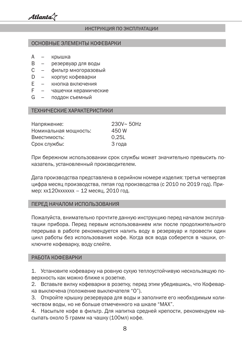*Atlanta* 

# ОСНОВНЫЕ ЭЛЕМЕНТЫ КОФЕВАРКИ

- A крышка
- B резервуар для воды
- C фильтр многоразовый
- D корпус кофеварки
- E кнопка включения
- F чашечки керамические
- G поддон съемный

# ТЕХНИЧЕСКИЕ ХАРАКТЕРИСТИКИ

| Напряжение:           | $230V - 50Hz$ |
|-----------------------|---------------|
| Номинальная мошность: | 450 W         |
| Вместимость:          | 0.25L         |
| Срок службы:          | 3 года        |

При бережном использовании срок службы может значительно превысить показатель, установленный производителем.

Дата производства представлена в серийном номере изделия: третья четвертая цифра месяц производства, пятая год производства (с 2010 по 2019 год). Пример: хх120ххххххх – 12 месяц, 2010 год.

# ПЕРЕД НАЧАЛОМ ИСПОЛЬЗОВАНИЯ

Пожалуйста, внимательно прочтите данную инструкцию перед началом эксплуатации прибора. Перед первым использованием или после продолжительного перерыва в работе рекомендуется налить воду в резервуар и провести один цикл работы без использования кофе. Когда вся вода соберется в чашки, отключите кофеварку, воду слейте.

# РАБОТА КОФЕВАРКИ

1. Установите кофеварку на ровную сухую теплоустойчивую нескользящую поверхность как можно ближе к розетке.

2. Вставьте вилку кофеварки в розетку, перед этим убедившись, что Кофеварка выключена (положение выключателя "O").

3. Откройте крышку резервуара для воды и заполните его необходимым количеством воды, но не больше отмеченного на шкале "MAX".

4. Насыпьте кофе в фильтр. Для напитка средней крепости, рекомендуем насыпать около 5 грамм на чашку (100мл) кофе.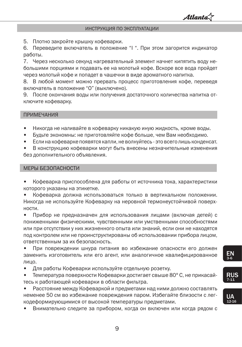$\mathcal{A}$ tlanta

5. Плотно закройте крышку кофеварки.

6. Переведите включатель в положение "I ". При этом загорится индикатор работы.

7. Через несколько секунд нагревательный элемент начнет кипятить воду небольшими порциями и подавать ее на молотый кофе. Вскоре все вода пройдет через молотый кофе и попадет в чашечки в виде ароматного напитка.

8. В любой момент можно прервать процесс приготовления кофе, переведя включатель в положение "О" (выключено).

9. После окончания воды или получения достаточного количества напитка отключите кофеварку.

#### **ПРИМЕЧАНИЯ**

- Никогда не наливайте в кофеварку никакую иную жидкость, кроме воды.
- Будьте экономны: не приготовляйте кофе больше, чем Вам необходимо.
- Если на кофеварке появятся капли, не волнуйтесь это всего лишь конденсат.  $\bullet$

В конструкцию кофеварки могут быть внесены незначительные изменения без дополнительного объявления.

# МЕРЫ БЕЗОПАСНОСТИ

Кофеварка приспособлена для работы от источника тока, характеристики которого указаны на этикетке.

Кофеварка должна использоваться только в вертикальном положении. Никогда не используйте Кофеварку на неровной термонеустойчивой поверхности.

Прибор не предназначен для использования лицами (включая детей) с пониженными физическими, чувственными или умственными способностями или при отсутствии у них жизненного опыта или знаний, если они не находятся под контролем или не проинструктированы об использовании прибора лицом, ответственным за их безопасность.

При повреждении шнура питания во избежание опасности его должен  $\bullet$ заменить изготовитель или его агент, или аналогичное квалифицированное лицо.

- Для работы Кофеварки используйте отдельную розетку.
- Температура поверхности Кофеварки достигает свыше 80°С, не прикасай- $\bullet$ тесь к работающей кофеварки в области фильтра.

 $\bullet$ Расстояние между Кофеваркой и предметами над ними должно составлять неменее 50 см во избежание повреждения паром. Избегайте близости с легкодеформирующимися от высокой температуры предметами.

Внимательно следите за прибором, когда он включен или когда рядом с

 $EN_{2.6}$ 



UА

 $12 - 16$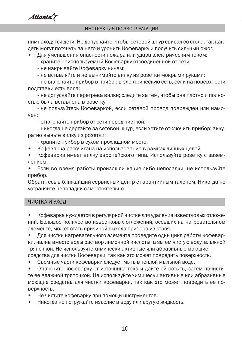нимнаходятся дети. Не допускайте, чтобы сетевой шнур свисал со стола, так какдети могут потянуть за него и уронить Кофеварку и получить сильный ожог.

- Для уменьшения опасности пожара или удара электрическим током:
	- храните неиспользуемый Кофеварку отсоединенной от сети;
	- не накрывайте Кофеварку ничем;
	- не вставляйте и не вынимайте вилку из розетки мокрыми руками;

- не включайте прибор в прибор в электрическую сеть, если на поверхности подставки есть вода;

- не допускайте перегрева вилки; следите за тем, чтобы она плотно и полностью была вставлена в розетку;

- не пользуйтесь Кофеваркой, если сетевой провод поврежден или намочен;

- отключайте прибор от сети перед чисткой;

- никогда не дергайте за сетевой шнур, если хотите отключить прибор: аккуратно выньте вилку из розетки;

- храните прибор в сухом прохладном месте.
- Кофеварка рассчитана на использование в рамках личных целей.

• Кофеварка имеет вилку европейского типа. Используйте розетку с заземлением.

• Если во время работы произошли какие-либо неполадки, не используйте прибор.

Обратитесь в ближайший сервисный центр с гарантийным талоном. Никогда не устраняйте неполадки самостоятельно.

# ЧИСТКА И УХОД

• Кофеварка нуждается в регулярной чистке для удаления известковых отложений. Большое количество известковых отложений, осевших на нагревательном элементе, может стать причиной выхода прибора из строя.

• Для чистки нагревательного элемента проведите один цикл работы кофеварки, налив вместо воды раствор лимонной кислоты, а затем чистую воду. влажной тряпочкой. Не используйте химически активные или абразивные моющие средства для чистки Кофеварки, так как это может повредить поверхность.

• Съемные части кофеварки следует мыть в теплой мыльной воде.

• Отключите кофеварку от источника тока и дайте ей остыть, затем почистите ее влажной тряпочкой. Не используйте химически активные или абразивные моющие средства для чистки кофеварки, так как это может повредить ее поверхность.

- Не чистите кофеварку при помощи инструментов.
- Никогда не погружайте изделие в воду или другую жидкость.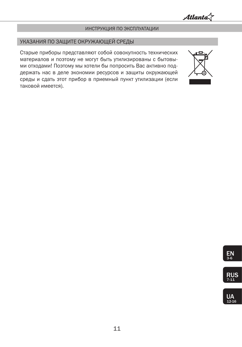$\mathcal{A}$ tlanta

# УКАЗАНИЯ ПО ЗАЩИТЕ ОКРУЖАЮЩЕЙ СРЕДЫ

Старые приборы представляют собой совокупность технических материалов и поэтому не могут быть утилизированы с бытовыми отходами! Поэтому мы хотели бы попросить Вас активно поддержать нас в деле экономии ресурсов и защиты окружающей среды и сдать этот прибор в приемный пункт утилизации (если таковой имеется).



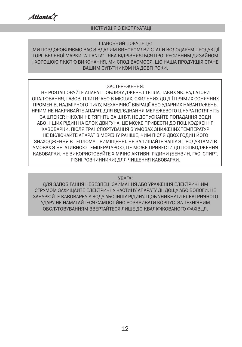#### ШАНОВНИЙ ПОКУПЕЦЬ!

 МИ ПОЗДОРОВЛЯЄМО ВАС З ВДАЛИМ ВИБОРОМ! ВИ СТАЛИ ВОЛОДАРЕМ ПРОДУКЦІЇ ТОРГІВЕЛЬНОЇ МАРКИ "ATLANTA", ЯКА ВІДРІЗНЯЄТЬСЯ ПРОГРЕСИВНИМ ДИЗАЙНОМ І ХОРОШОЮ ЯКІСТЮ ВИКОНАННЯ. МИ СПОДІВАЄМОСЯ, ЩО НАША ПРОДУКЦІЯ СТАНЕ ВАШИМ СУПУТНИКОМ НА ДОВГІ РОКИ.

### ЗАСТЕРЕЖЕННЯ:

НЕ РОЗТАШОВУЙТЕ АПАРАТ ПОБЛИЗУ ДЖЕРЕЛ ТЕПЛА, ТАКИХ ЯК: РАДІАТОРИ ОПАЛЮВАННЯ, ГАЗОВІ ПЛИТИ; АБО В МІСЦЯХ, СХИЛЬНИХ ДО ДІЇ ПРЯМИХ СОНЯЧНИХ ПРОМЕНІВ, НАДМІРНОГО ПИЛУ, МЕХАНІЧНОЇ ВІБРАЦІЇ АБО УДАРНИХ НАВАНТАЖЕНЬ. НІЧИМ НЕ НАКРИВАЙТЕ АПАРАТ. ДЛЯ ВІД'ЄДНАННЯ МЕРЕЖЕВОГО ШНУРА ПОТЯГНІТЬ ЗА ШТЕКЕР. НІКОЛИ НЕ ТЯГНІТЬ ЗА ШНУР. НЕ ДОПУСКАЙТЕ ПОПАДАННЯ ВОДИ АБО ІНШИХ РІДИН НА БЛОК ДВИГУНА, ЦЕ МОЖЕ ПРИВЕСТИ ДО ПОШКОДЖЕННЯ КАВОВАРКИ. ПІСЛЯ ТРАНСПОРТУВАННЯ В УМОВАХ ЗНИЖЕНИХ ТЕМПЕРАТУР НЕ ВКЛЮЧАЙТЕ АПАРАТ В МЕРЕЖУ РАНІШЕ, ЧИМ ПІСЛЯ ДВОХ ГОДИН ЙОГО ЗНАХОДЖЕННЯ В ТЕПЛОМУ ПРИМІЩЕННІ. НЕ ЗАЛИШАЙТЕ ЧАШУ З ПРОДУКТАМИ В УМОВАХ З НЕГАТИВНОЮ ТЕМПЕРАТУРОЮ, ЦЕ МОЖЕ ПРИВЕСТИ ДО ПОШКОДЖЕННЯ КАВОВАРКИ. НЕ ВИКОРИСТОВУЙТЕ ХІМІЧНО АКТИВНІ РІДИНИ (БЕНЗИН, ГАС, СПИРТ, РІЗНІ РОЗЧИННИКИ) ДЛЯ ЧИЩЕННЯ КАВОВАРКИ.

#### УВАГА!

ДЛЯ ЗАПОБІГАННЯ НЕБЕЗПЕЦІ ЗАЙМАННЯ АБО УРАЖЕННЯ ЕЛЕКТРИЧНИМ СТРУМОМ ЗАХИЩАЙТЕ ЕЛЕКТРИЧНУ ЧАСТИНУ АПАРАТУ ДІЇ ДОЩУ АБО ВОЛОГИ. НЕ ЗАНУРЮЙТЕ КАВОВАРКУ У ВОДУ АБО ІНШУ РІДИНУ. ЩОБ УНИКНУТИ ЕЛЕКТРИЧНОГО УДАРУ НЕ НАМАГАЙТЕСЯ САМОСТІЙНО РОЗКРИВАТИ КОРПУС. ЗА ТЕХНІЧНИМ ОБСЛУГОВУВАННЯМ ЗВЕРТАЙТЕСЯ ЛИШЕ ДО КВАЛІФІКОВАНОГО ФАХІВЦЯ.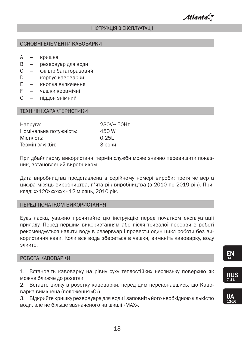$\mathcal{A}$ tlanta

#### ОСНОВНІ ЕЛЕМЕНТИ КАВОВАРКИ

- A кришка
- B резервуар для води
- C фільтр багаторазовий
- D корпус кавоварки
- E кнопка включення
- F чашки керамічні
- G піддон знімний

# ТЕХНІЧНІ ХАРАКТЕРИСТИКИ

| Напруга:               | 230V~50Hz |
|------------------------|-----------|
| Номінальна потужність: | 450 W     |
| Місткість:             | 0.25L     |
| Термін служби:         | 3 роки    |

При дбайливому використанні термін служби може значно перевищити показник, встановлений виробником.

Дата виробництва представлена в серійному номері вироби: третя четверта цифра місяць виробництва, п'ята рік виробництва (з 2010 по 2019 рік). Приклад: хх120ххххххх - 12 місяць, 2010 рік.

# ПЕРЕД ПОЧАТКОМ ВИКОРИСТАННЯ

Будь ласка, уважно прочитайте цю інструкцію перед початком експлуатації приладу. Перед першим використанням або після тривалої перерви в роботі рекомендується налити воду в резервуар і провести один цикл роботи без використання кави. Коли вся вода збереться в чашки, вимкніть кавоварку, воду злийте.

# РОБОТА КАВОВАРКИ

1. Встановіть кавоварку на рівну суху теплостійких неслизьку поверхню як можна ближче до розетки.

2. Вставте вилку в розетку кавоварки, перед цим переконавшись, що Кавоварка вимкнена (положення «O»).

3. Відкрийте кришку резервуара для води і заповніть його необхідною кількістю води, але не більше зазначеного на шкалі «MAX».

EN 3-6

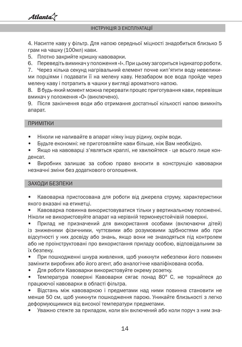4. Насипте каву у фільтр. Для напою середньої міцності знадобиться близько 5 грам на чашку (100мл) кави.

5. Плотно закрийте кришку кавоварки.

6. Переведіть вимикач у положення «I». При цьому загориться індикатор роботи.

7. Через кілька секунд нагрівальний елемент почне кип'ятити воду невеликими порціями і подавати її на мелену каву. Незабаром все вода пройде через мелену каву і потрапить в чашки у вигляді ароматного напою.

8. В будь-який момент можна перервати процес приготування кави, перевівши вмикач у положення «O» (виключено).

9. Після закінчення води або отримання достатньої кількості напою вимкніть апарат.

# ПРИМІТКИ

- Ніколи не наливайте в апарат ніяку іншу рідину, окрім води.
- Будьте економні: не приготовляйте кави більше, ніж Вам необхідно.

• Якщо на кавоварці з'являться краплі, не хвилюйтеся - це всього лише конденсат.

• Виробник залишає за собою право вносити в конструкцію кавоварки незначні зміни без додаткового оголошення.

# ЗАХОДИ БЕЗПЕКИ

• Кавоварка пристосована для роботи від джерела струму, характеристики якого вказані на етикетці.

• Кавоварка повинна використовуватися тільки у вертикальному положенні. Ніколи не використовуйте апарат на нерівній термонеустойчівій поверхні.

• Прилад не призначений для використання особами (включаючи дітей) із зниженими фізичними, чуттєвими або розумовими здібностями або при відсутності у них досвіду або знань, якщо вони не знаходяться під контролем або не проінструктовані про використання приладу особою, відповідальним за їх безпеку.

• При пошкодженні шнура живлення, щоб уникнути небезпеки його повинен замінити виробник або його агент, або аналогічне кваліфікована особа.

• Для роботи Кавоварки використовуйте окрему розетку.

• Температура поверхні Кавоварки сягає понад 80° С, не торкайтеся до працюючої кавоварки в області фільтра.

• Відстань між кавоваркою і предметами над ними повинна становити не менше 50 см, щоб уникнути пошкодження парою. Уникайте близькості з легко деформующимися від високої температури предметами.

• Уважно стежте за приладом, коли він включений або коли поруч з ним зна-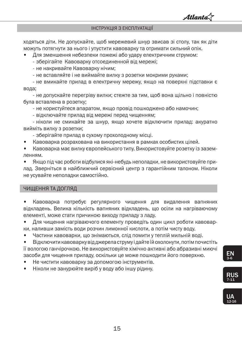$\mathcal{A}$ tlanta

ходяться діти. Не допускайте, щоб мережевий шнур звисав зі столу, так як діти можуть потягнути за нього і упустити кавоварку та отримати сильний опік.

• Для зменшення небезпеки пожежі або удару електричним струмом:

- зберігайте Кавоварку отсоединенной від мережі;
- не накривайте Кавоварку нічим;
- не вставляйте і не виймайте вилку з розетки мокрими руками;

- не вмикайте прилад в електричну мережу, якщо на поверхні підставки є вода;

- не допускайте перегріву вилки; стежте за тим, щоб вона щільно і повністю була вставлена в розетку;

- не користуйтеся апаратом, якщо провід пошкоджено або намочин;

- відключайте прилад від мережі перед чищенням;

- ніколи не смикайте за шнур, якщо хочете відключити прилад: акуратно вийміть вилку з розетки;

- зберігайте прилад в сухому прохолодному місці.

• Кавоварка розрахована на використання в рамках особистих цілей.

• Кавоварка має вилку європейського типу. Використовуйте розетку із заземленням.

• Якщо під час роботи відбулися які-небудь неполадки, не використовуйте прилад. Зверніться в найближчий сервісний центр з гарантійним талоном. Ніколи не усувайте неполадки самостійно.

# ЧИЩЕННЯ ТА ДОГЛЯД

• Кавоварка потребує регулярного чищення для видалення вапняних відкладень. Велика кількість вапняних відкладень, що осіли на нагріваючому елементі, може стати причиною виходу приладу з ладу.

• Для чищення нагріваючого елементу проведіть один цикл роботи кавоварки, наливши замість води розчин лимонної кислоти, а потім чисту воду.

• Частини кавоварки, що знімаються, слід помити у теплій мильній воді.

• Відключити кавоварку від джерела струму і дайте їй охолонути, потім почистіть її вологою ганчірочкою. Не використовуйте хімічно активні або абразивні миючі засоби для чищення приладу, оскільки це може пошкодити його поверхню.

- Не чистити кавоварку за допомогою інструментів.
- Ніколи не занурюйте виріб у воду або іншу рідину.

EN 3-6

RUS 7-11

UA 12-16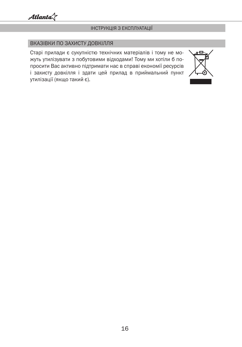# ВКАЗІВКИ ПО ЗАХИСТУ ДОВКІЛЛЯ

Старі прилади є сукупністю технічних матеріалів і тому не можуть утилізувати з побутовими відходами! Тому ми хотіли б попросити Вас активно підтримати нас в справі економії ресурсів і захисту довкілля і здати цей прилад в приймальний пункт утилізації (якщо такий є).

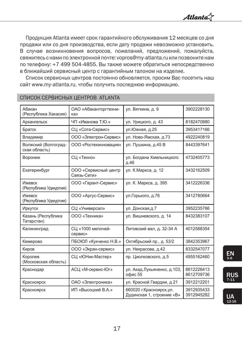Продукция Atlanta имеет срок гарантийного обслуживания 12 месяцев со дня продажи или со дня производства, если дату продажи невозможно установить. В случае возникновения вопросов, пожеланий, предложений, пожалуйста, свяжитесь с нами по электронной почте: vopros@my-atlanta.ru или позвоните нам по телефону: +7 499 504-4855. Вы также можете обратиться непосредственно в ближайший сервисный центр с гарантийным талоном на изделие.

 Список сервисных центров постоянно обновляется, просим Вас посетить наш сайт www.my-atlanta.ru, чтобы получить последнюю информацию.

| Абакан<br>(Республика Хакасия)        | ОАО «Абаканторгтехни-<br>ка»        | ул. Вяткина, д. 9                                      | 3902228130               |
|---------------------------------------|-------------------------------------|--------------------------------------------------------|--------------------------|
| Архангельск                           | ЧП «Иванова Т.Ю.»                   | ул. Урицкого, д. 43                                    | 8182470880               |
| Братск                                | СЦ «Сота-Сервис»                    | ул. Южная, д. 25                                       | 3953417166               |
| Владимир                              | ООО «Электрон-Сервис»               | ул. Ново-Ямская, д.73                                  | 4922240819               |
| Волжский (Волгоград-<br>ская область) | ООО «Ростехинновация»               | ул. Пушкина, д.45 В                                    | 8443397641               |
| Воронеж                               | СЦ «Техно»                          | ул. Богдана Хмельницкого<br>д.46                       | 4732405773               |
| Екатеринбург                          | ООО «Сервисный центр<br>Связь-Сети» | ул. К.Маркса, д. 12                                    | 3432162509               |
| Ижевск<br>(Республика Удмуртия)       | ООО «Гарант-Сервис»                 | ул. К. Маркса, д. 395                                  | 3412226336               |
| Ижевск<br>(Республика Удмуртия)       | ООО «Аргус-Сервис»                  | ул. Горького, д. 76                                    | 3412780664               |
| Иркутск                               | СЦ «Универсал»                      | ул. Донская, д. 7                                      | 3952235766               |
| Казань (Республика<br>Татарстан)      | ООО «Техника»                       | ул. Вишневского, д. 14                                 | 8432383107               |
| Калининград                           | СЦ «1000 мелочей-<br>сервис»        | Литовский вал, д. 32-34 А                              | 4012588354               |
| Кемерово                              | ПБОЮЛ «Кукченко Н.В.»               | Октябрьский пр., д. 53/2                               | 3842353967               |
| Киров                                 | ООО «Экран-сервис»                  | ул. Некрасова, д.42                                    | 8332547077               |
| Королев<br>(Московская область)       | СЦ «ЮНик-Мастер»                    | пр. Циолковского, д.5                                  | 4955162460               |
| Краснодар                             | АСЦ «М-сервис-Юг»                   | ул. Акад. Лукьяненко, д. 103,<br>офис 55               | 8612226413<br>8612709736 |
| Красноярск                            | ОАО «Электроника»                   | ул. Красной Гвардии, д.21                              | 3912212201               |
| Красноярск                            | ИП «Высоцкий В.А.»                  | 660020 г. Красноярск, ул.<br>Дудинская 1, строение «В» | 3912935433<br>3912945282 |

# СПИСОК СЕРВИСНЫХ ЦЕНТРОВ ATLANTA

EN 3-6

RUS 7-11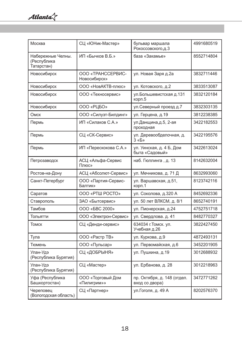| Москва                                         | СЦ «ЮНик-Мастер»                  | бульвар маршала<br>Рокоссовского, д.3         | 4991680519 |
|------------------------------------------------|-----------------------------------|-----------------------------------------------|------------|
| Набережные Челны.<br>(Республика<br>Татарстан) | ИП «Бычков В.Б.»                  | база «Закамье»                                | 8552714804 |
| Новосибирск                                    | ООО «ТРАНССЕРВИС-<br>Новосибирск» | ул. Новая Заря д.2а                           | 3832711446 |
| Новосибирск                                    | ООО «НовАКТВ-плюс»                | ул. Котовского, д.2                           | 3833513087 |
| Новосибирск                                    | ООО «Техносервис»                 | ул.Большевистская д.131<br>корп.5             | 3832120184 |
| Новосибирск                                    | ООО «РЦБО»                        | ул. Северный проезд д. 7                      | 3832303135 |
| Омск                                           | ООО «Силуэт-Билдинг»              | ул. Герцена, д.19                             | 3812238385 |
| Пермь                                          | ИП «Силаков С.А.»                 | ул. Данщина, д. 5, 2-ая<br>проходная          | 3422182553 |
| Пермь                                          | СЦ «СК-Сервис»                    | ул. Деревообделочная, д.<br>$3\;$ «Б»         | 3422195576 |
| Пермь                                          | ИП «Перескокова С.А.»             | ул. Уинская, д. 4 Б, Дом<br>быта «Садовый»    | 3422613024 |
| Петрозаводск                                   | АСЦ «Альфа-Сервис<br>Плюс»        | наб. Гюллинга, д. 13                          | 8142632004 |
| Ростов-на-Дону                                 | АСЦ «Абсолют-Сервис»              | ул. Мечникова, д. 71 Д                        | 8632993060 |
| Санкт-Петербург                                | ООО «Партия-Сервис-<br>Балтик»    | ул. Варшавская, д.51,<br>корп.1               | 8123742116 |
| Саратов                                        | ООО «РТШ РОСТО»                   | ул. Соколова, д.320 А                         | 8452692336 |
| Ставрополь                                     | ЗАО «Бытсервис»                   | ул. 50 лет ВЛКСМ, д. 8/1                      | 8652740191 |
| Тамбов                                         | OOO «BBC 2000»                    | ул. Пионерская, д.24                          | 4752751718 |
| Тольятти                                       | ООО «Электрон-Сервис»             | ул. Свердлова. д. 41                          | 8482770327 |
| Томск                                          | СЦ «Денди-сервис»                 | 634034 г. Томск. ул.<br>Учебная д.26          | 3822427450 |
| Тула                                           | ООО «Растр ТВ»                    | ул. Куркова, д.9                              | 4872493131 |
| Тюмень                                         | ООО «Пульсар»                     | ул. Первомайская, д.6                         | 3452201905 |
| Улан-Удэ<br>(Республика Бурятия)               | СЦ «ДОБРЫНЯ»                      | ул. Пушкина, д.19                             | 3012688932 |
| Улан-Удэ<br>(Республика Бурятия)               | СЦ «Мастер»                       | ул. Ербанова, д. 28                           | 3012218963 |
| Уфа (Республика<br>Башкортостан)               | ООО «Торговый Дом<br>«Пилигрим»»  | пр. Октября, д. 148 (отдел.<br>вход со двора) | 3472771262 |
| Череповец<br>(Вологодская область)             | СЦ «Партнер»                      | ул. Гоголя, д. 49 А                           | 8202576370 |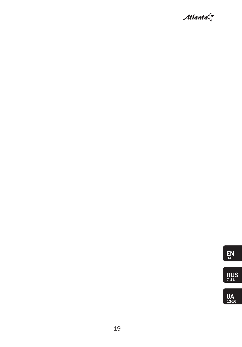$\mathcal{A}$ tlanta $\sqrt{\ }$